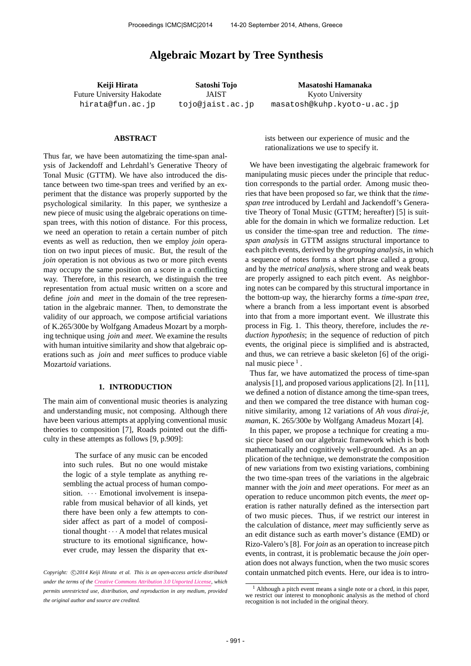# **Algebraic Mozart by Tree Synthesis**

**Keiji Hirata** Future University Hakodate hirata@fun.ac.jp

**Satoshi Tojo** JAIST tojo@jaist.ac.jp

**Masatoshi Hamanaka** Kyoto University masatosh@kuhp.kyoto-u.ac.jp

#### **ABSTRACT**

Thus far, we have been automatizing the time-span analysis of Jackendoff and Lehrdahl's Generative Theory of Tonal Music (GTTM). We have also introduced the distance between two time-span trees and verified by an experiment that the distance was properly supported by the psychological similarity. In this paper, we synthesize a new piece of music using the algebraic operations on timespan trees, with this notion of distance. For this process, we need an operation to retain a certain number of pitch events as well as reduction, then we employ *join* operation on two input pieces of music. But, the result of the *join* operation is not obvious as two or more pitch events may occupy the same position on a score in a conflicting way. Therefore, in this research, we distinguish the tree representation from actual music written on a score and define *join* and *meet* in the domain of the tree representation in the algebraic manner. Then, to demonstrate the validity of our approach, we compose artificial variations of K.265/300e by Wolfgang Amadeus Mozart by a morphing technique using *join* and *meet*. We examine the results with human intuitive similarity and show that algebraic operations such as *join* and *meet* suffices to produce viable Mozart*oid* variations.

### **1. INTRODUCTION**

The main aim of conventional music theories is analyzing and understanding music, not composing. Although there have been various attempts at applying conventional music theories to composition [7], Roads pointed out the difficulty in these attempts as follows [9, p.909]:

> The surface of any music can be encoded into such rules. But no one would mistake the logic of a style template as anything resembling the actual process of human composition.  $\cdots$  Emotional involvement is inseparable from musical behavior of all kinds, yet there have been only a few attempts to consider affect as part of a model of compositional thought  $\cdots$  A model that relates musical structure to its emotional significance, however crude, may lessen the disparity that ex-

ists between our experience of music and the rationalizations we use to specify it.

We have been investigating the algebraic framework for manipulating music pieces under the principle that reduction corresponds to the partial order. Among music theories that have been proposed so far, we think that the *timespan tree* introduced by Lerdahl and Jackendoff's Generative Theory of Tonal Music (GTTM; hereafter) [5] is suitable for the domain in which we formalize reduction. Let us consider the time-span tree and reduction. The *timespan analysis* in GTTM assigns structural importance to each pitch events, derived by the *grouping analysis*, in which a sequence of notes forms a short phrase called a group, and by the *metrical analysis*, where strong and weak beats are properly assigned to each pitch event. As neighboring notes can be compared by this structural importance in the bottom-up way, the hierarchy forms a *time-span tree*, where a branch from a less important event is absorbed into that from a more important event. We illustrate this process in Fig. 1. This theory, therefore, includes the *reduction hypothesis*; in the sequence of reduction of pitch events, the original piece is simplified and is abstracted, and thus, we can retrieve a basic skeleton [6] of the original music piece<sup>1</sup>.

Thus far, we have automatized the process of time-span analysis [1], and proposed various applications [2]. In [11], we defined a notion of distance among the time-span trees, and then we compared the tree distance with human cognitive similarity, among 12 variations of *Ah vous dirai-je, maman*, K. 265/300e by Wolfgang Amadeus Mozart [4].

In this paper, we propose a technique for creating a music piece based on our algebraic framework which is both mathematically and cognitively well-grounded. As an application of the technique, we demonstrate the composition of new variations from two existing variations, combining the two time-span trees of the variations in the algebraic manner with the *join* and *meet* operations. For *meet* as an operation to reduce uncommon pitch events, the *meet* operation is rather naturally defined as the intersection part of two music pieces. Thus, if we restrict our interest in the calculation of distance, *meet* may sufficiently serve as an edit distance such as earth mover's distance (EMD) or Rizo-Valero's [8]. For *join* as an operation to increase pitch events, in contrast, it is problematic because the *join* operation does not always function, when the two music scores contain unmatched pitch events. Here, our idea is to intro-

Copyright:  $\bigcirc$ 2014 Keiji Hirata et al. This is an open-access article distributed *under the terms of the Creative Commons Attribution 3.0 Unported License, which permits unrestricted use, distribution, and reproduction in any medium, provided the original author and source are credited.*

<sup>1</sup> Although a pitch event means a single note or a chord, in this paper, we restrict our interest to monophonic analysis as the method of chord recognition is not included in the original theory.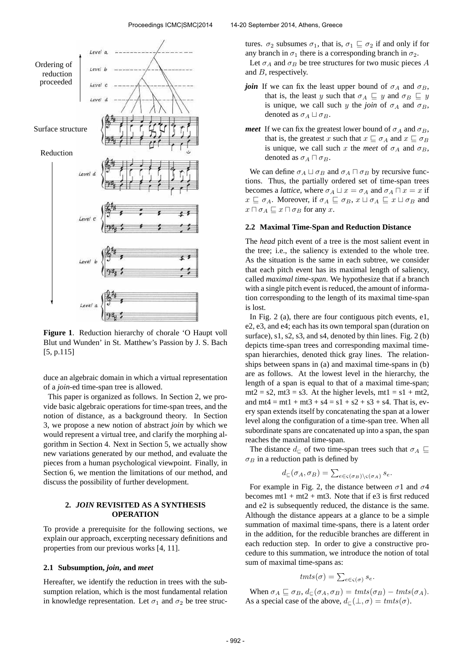

**Figure 1**. Reduction hierarchy of chorale 'O Haupt voll Blut und Wunden' in St. Matthew's Passion by J. S. Bach [5, p.115]

duce an algebraic domain in which a virtual representation of a *join*-ed time-span tree is allowed.

This paper is organized as follows. In Section 2, we provide basic algebraic operations for time-span trees, and the notion of distance, as a background theory. In Section 3, we propose a new notion of abstract *join* by which we would represent a virtual tree, and clarify the morphing algorithm in Section 4. Next in Section 5, we actually show new variations generated by our method, and evaluate the pieces from a human psychological viewpoint. Finally, in Section 6, we mention the limitations of our method, and discuss the possibility of further development.

## **2.** *JOIN* **REVISITED AS A SYNTHESIS OPERATION**

To provide a prerequisite for the following sections, we explain our approach, excerpting necessary definitions and properties from our previous works [4, 11].

### **2.1 Subsumption,** *join***, and** *meet*

Hereafter, we identify the reduction in trees with the subsumption relation, which is the most fundamental relation in knowledge representation. Let  $\sigma_1$  and  $\sigma_2$  be tree strucand B, respectively.

tures.  $\sigma_2$  subsumes  $\sigma_1$ , that is,  $\sigma_1 \sqsubseteq \sigma_2$  if and only if for any branch in  $\sigma_1$  there is a corresponding branch in  $\sigma_2$ . Let  $\sigma_A$  and  $\sigma_B$  be tree structures for two music pieces A

- *join* If we can fix the least upper bound of  $\sigma_A$  and  $\sigma_B$ , that is, the least y such that  $\sigma_A \subseteq y$  and  $\sigma_B \subseteq y$ is unique, we call such y the *join* of  $\sigma_A$  and  $\sigma_B$ , denoted as  $\sigma_A \sqcup \sigma_B$ .
- *meet* If we can fix the greatest lower bound of  $\sigma_A$  and  $\sigma_B$ , that is, the greatest x such that  $x \sqsubseteq \sigma_A$  and  $x \sqsubseteq \sigma_B$ is unique, we call such x the *meet* of  $\sigma_A$  and  $\sigma_B$ , denoted as  $\sigma_A \sqcap \sigma_B$ .

We can define  $\sigma_A \sqcup \sigma_B$  and  $\sigma_A \sqcap \sigma_B$  by recursive functions. Thus, the partially ordered set of time-span trees becomes a *lattice*, where  $\sigma_A \sqcup x = \sigma_A$  and  $\sigma_A \sqcap x = x$  if  $x \subseteq \sigma_A$ . Moreover, if  $\sigma_A \subseteq \sigma_B$ ,  $x \sqcup \sigma_A \subseteq x \sqcup \sigma_B$  and  $x \sqcap \sigma_A \sqsubseteq x \sqcap \sigma_B$  for any x.

#### **2.2 Maximal Time-Span and Reduction Distance**

The *head* pitch event of a tree is the most salient event in the tree; i.e., the saliency is extended to the whole tree. As the situation is the same in each subtree, we consider that each pitch event has its maximal length of saliency, called *maximal time-span*. We hypothesize that if a branch with a single pitch event is reduced, the amount of information corresponding to the length of its maximal time-span is lost.

In Fig. 2 (a), there are four contiguous pitch events, e1, e2, e3, and e4; each has its own temporal span (duration on surface), s1, s2, s3, and s4, denoted by thin lines. Fig. 2 (b) depicts time-span trees and corresponding maximal timespan hierarchies, denoted thick gray lines. The relationships between spans in (a) and maximal time-spans in (b) are as follows. At the lowest level in the hierarchy, the length of a span is equal to that of a maximal time-span;  $mt2 = s2$ ,  $mt3 = s3$ . At the higher levels,  $mt1 = s1 + mt2$ , and  $mt4 = mt1 + mt3 + s4 = s1 + s2 + s3 + s4$ . That is, every span extends itself by concatenating the span at a lower level along the configuration of a time-span tree. When all subordinate spans are concatenated up into a span, the span reaches the maximal time-span.

The distance  $d_{\text{C}}$  of two time-span trees such that  $\sigma_A \subseteq$  $\sigma_B$  in a reduction path is defined by

$$
d_{\sqsubseteq}(\sigma_A, \sigma_B) = \sum_{e \in \varsigma(\sigma_B) \setminus \varsigma(\sigma_A)} s_e.
$$

For example in Fig. 2, the distance between  $\sigma$ 1 and  $\sigma$ 4 becomes  $mt1 + mt2 + mt3$ . Note that if e3 is first reduced and e2 is subsequently reduced, the distance is the same. Although the distance appears at a glance to be a simple summation of maximal time-spans, there is a latent order in the addition, for the reducible branches are different in each reduction step. In order to give a constructive procedure to this summation, we introduce the notion of total sum of maximal time-spans as:

$$
t m t s(\sigma) = \sum_{e \in \varsigma(\sigma)} s_e.
$$

When  $\sigma_A \sqsubseteq \sigma_B$ ,  $d_{\sqsubseteq}(\sigma_A, \sigma_B) = \text{tmts}(\sigma_B) - \text{tmts}(\sigma_A)$ . As a special case of the above,  $d_{\square}(\bot, \sigma) = \text{tmts}(\sigma)$ .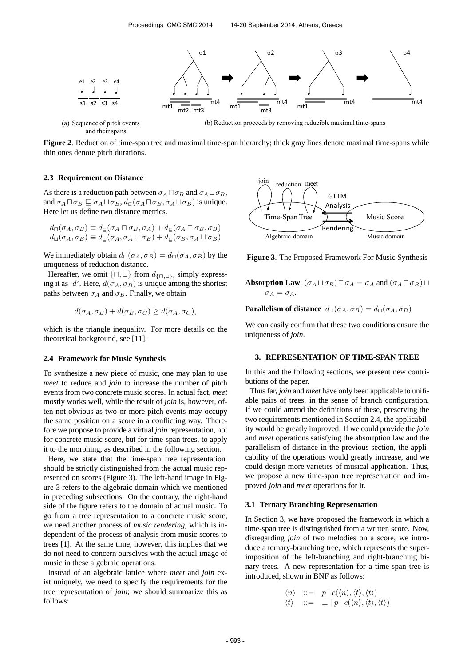

and their spans

**Figure 2**. Reduction of time-span tree and maximal time-span hierarchy; thick gray lines denote maximal time-spans while thin ones denote pitch durations.

#### **2.3 Requirement on Distance**

As there is a reduction path between  $\sigma_A \Box \sigma_B$  and  $\sigma_A \Box \sigma_B$ , and  $\sigma_A \sqcap \sigma_B \sqsubseteq \sigma_A \sqcup \sigma_B$ ,  $d_{\sqsubset}(\sigma_A \sqcap \sigma_B, \sigma_A \sqcup \sigma_B)$  is unique. Here let us define two distance metrics.

$$
d_{\square}(\sigma_A, \sigma_B) \equiv d_{\square}(\sigma_A \sqcap \sigma_B, \sigma_A) + d_{\square}(\sigma_A \sqcap \sigma_B, \sigma_B)
$$
  

$$
d_{\square}(\sigma_A, \sigma_B) \equiv d_{\square}(\sigma_A, \sigma_A \sqcup \sigma_B) + d_{\square}(\sigma_B, \sigma_A \sqcup \sigma_B)
$$

We immediately obtain  $d_{\Box}(\sigma_A, \sigma_B) = d_{\Box}(\sigma_A, \sigma_B)$  by the uniqueness of reduction distance.

Hereafter, we omit  $\{\Box, \Box\}$  from  $d_{\{\Box, \Box\}}$ , simply expressing it as 'd'. Here,  $d(\sigma_A, \sigma_B)$  is unique among the shortest paths between  $\sigma_A$  and  $\sigma_B$ . Finally, we obtain

$$
d(\sigma_A, \sigma_B) + d(\sigma_B, \sigma_C) \ge d(\sigma_A, \sigma_C),
$$

which is the triangle inequality. For more details on the theoretical background, see [11].

### **2.4 Framework for Music Synthesis**

To synthesize a new piece of music, one may plan to use *meet* to reduce and *join* to increase the number of pitch events from two concrete music scores. In actual fact, *meet* mostly works well, while the result of *join* is, however, often not obvious as two or more pitch events may occupy the same position on a score in a conflicting way. Therefore we propose to provide a virtual *join* representation, not for concrete music score, but for time-span trees, to apply it to the morphing, as described in the following section.

Here, we state that the time-span tree representation should be strictly distinguished from the actual music represented on scores (Figure 3). The left-hand image in Figure 3 refers to the algebraic domain which we mentioned in preceding subsections. On the contrary, the right-hand side of the figure refers to the domain of actual music. To go from a tree representation to a concrete music score, we need another process of *music rendering*, which is independent of the process of analysis from music scores to trees [1]. At the same time, however, this implies that we do not need to concern ourselves with the actual image of music in these algebraic operations.

Instead of an algebraic lattice where *meet* and *join* exist uniquely, we need to specify the requirements for the tree representation of *join*; we should summarize this as follows:



**Figure 3**. The Proposed Framework For Music Synthesis

**Absorption Law**  $(\sigma_A \sqcup \sigma_B) \sqcap \sigma_A = \sigma_A$  and  $(\sigma_A \sqcap \sigma_B) \sqcup$  $\sigma_A = \sigma_A$ .

**Parallelism of distance**  $d_{\Box}(\sigma_A, \sigma_B) = d_{\Box}(\sigma_A, \sigma_B)$ 

We can easily confirm that these two conditions ensure the uniqueness of *join*.

#### **3. REPRESENTATION OF TIME-SPAN TREE**

In this and the following sections, we present new contributions of the paper.

Thus far, *join* and *meet* have only been applicable to unifiable pairs of trees, in the sense of branch configuration. If we could amend the definitions of these, preserving the two requirements mentioned in Section 2.4, the applicability would be greatly improved. If we could provide the *join* and *meet* operations satisfying the absortption law and the parallelism of distance in the previous section, the applicability of the operations would greatly increase, and we could design more varieties of musical application. Thus, we propose a new time-span tree representation and improved *join* and *meet* operations for it.

#### **3.1 Ternary Branching Representation**

In Section 3, we have proposed the framework in which a time-span tree is distinguished from a written score. Now, disregarding *join* of two melodies on a score, we introduce a ternary-branching tree, which represents the superimposition of the left-branching and right-branching binary trees. A new representation for a time-span tree is introduced, shown in BNF as follows:

$$
\begin{array}{rcl}\n\langle n \rangle & ::= & p \mid c(\langle n \rangle, \langle t \rangle, \langle t \rangle) \\
\langle t \rangle & ::= & \perp \mid p \mid c(\langle n \rangle, \langle t \rangle, \langle t \rangle)\n\end{array}
$$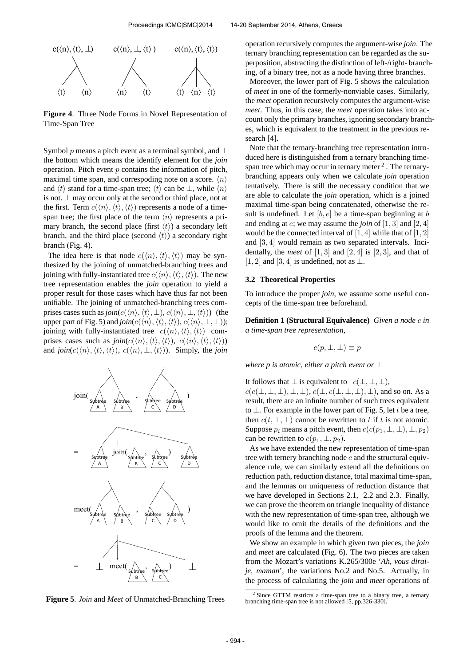

**Figure 4**. Three Node Forms in Novel Representation of Time-Span Tree

Symbol p means a pitch event as a terminal symbol, and  $\perp$ the bottom which means the identify element for the *join* operation. Pitch event  $p$  contains the information of pitch, maximal time span, and correspoding note on a score.  $\langle n \rangle$ and  $\langle t \rangle$  stand for a time-span tree;  $\langle t \rangle$  can be  $\perp$ , while  $\langle n \rangle$ is not.  $\perp$  may occur only at the second or third place, not at the first. Term  $c(\langle n \rangle, \langle t \rangle, \langle t \rangle)$  represents a node of a timespan tree; the first place of the term  $\langle n \rangle$  represents a primary branch, the second place (first  $\langle t \rangle$ ) a secondary left branch, and the third place (second  $\langle t \rangle$ ) a secondary right branch (Fig. 4).

The idea here is that node  $c(\langle n \rangle, \langle t \rangle, \langle t \rangle)$  may be synthesized by the joining of unmatched-branching trees and joining with fully-instantiated tree  $c(\langle n \rangle, \langle t \rangle, \langle t \rangle)$ . The new tree representation enables the *join* operation to yield a proper result for those cases which have thus far not been unifiable. The joining of unmatched-branching trees comprises cases such as  $\text{join}(c(\langle n \rangle, \langle t \rangle, \bot), c(\langle n \rangle, \bot, \langle t \rangle))$  (the upper part of Fig. 5) and  $\text{join}(c(\langle n \rangle, \langle t \rangle, \langle t \rangle), c(\langle n \rangle, \bot, \bot))$ ; joining with fully-instantiated tree  $c(\langle n \rangle, \langle t \rangle, \langle t \rangle)$  comprises cases such as  $\text{join}(c(\langle n \rangle, \langle t \rangle, \langle t \rangle), c(\langle n \rangle, \langle t \rangle))$ and  $\text{join}(c(\langle n \rangle, \langle t \rangle, \langle t \rangle), c(\langle n \rangle, \bot, \langle t \rangle))$ . Simply, the *join* 



**Figure 5**. *Join* and *Meet* of Unmatched-Branching Trees

operation recursively computes the argument-wise *join*. The ternary branching representation can be regarded as the superposition, abstracting the distinction of left-/right- branching, of a binary tree, not as a node having three branches.

Moreover, the lower part of Fig. 5 shows the calculation of *meet* in one of the formerly-nonviable cases. Similarly, the *meet* operation recursively computes the argument-wise *meet*. Thus, in this case, the *meet* operation takes into account only the primary branches, ignoring secondary branches, which is equivalent to the treatment in the previous research [4].

Note that the ternary-branching tree representation introduced here is distinguished from a ternary branching timespan tree which may occur in ternary meter  $2$ . The ternarybranching appears only when we calculate *join* operation tentatively. There is still the necessary condition that we are able to calculate the *join* operation, which is a joined maximal time-span being concatenated, otherwise the result is undefined. Let  $[b, e]$  be a time-span beginning at b and ending at e; we may assume the *join* of [1, 3] and [2, 4] would be the connected interval of  $[1, 4]$  while that of  $[1, 2]$ and [3, 4] would remain as two separated intervals. Incidentally, the *meet* of  $[1, 3]$  and  $[2, 4]$  is  $[2, 3]$ , and that of [1, 2] and [3, 4] is undefined, not as  $\perp$ .

### **3.2 Theoretical Properties**

To introduce the proper *join*, we assume some useful concepts of the time-span tree beforehand.

**Definition 1 (Structural Equivalence)** *Given a node* c *in a time-span tree representation,*

$$
c(p, \perp, \perp) \equiv p
$$

*where p is atomic, either a pitch event or* ⊥

It follows that  $\perp$  is equivalent to  $c(\perp, \perp, \perp)$ ,  $c(c(\perp, \perp, \perp), \perp, \perp), c(\perp, c(\perp, \perp, \perp), \perp)$ , and so on. As a result, there are an infinite number of such trees equivalent to  $\perp$ . For example in the lower part of Fig. 5, let t be a tree, then  $c(t, \perp, \perp)$  cannot be rewritten to t if t is not atomic. Suppose  $p_i$  means a pitch event, then  $c(c(p_1, \perp, \perp), \perp, p_2)$ can be rewritten to  $c(p_1, \perp, p_2)$ .

As we have extended the new representation of time-span tree with ternery branching node  $c$  and the structural equivalence rule, we can similarly extend all the definitions on reduction path, reduction distance, total maximal time-span, and the lemmas on uniqueness of reduction distance that we have developed in Sections 2.1, 2.2 and 2.3. Finally, we can prove the theorem on triangle inequality of distance with the new representation of time-span tree, although we would like to omit the details of the definitions and the proofs of the lemma and the theorem.

We show an example in which given two pieces, the *join* and *meet* are calculated (Fig. 6). The two pieces are taken from the Mozart's variations K.265/300e '*Ah, vous diraije, maman*', the variations No.2 and No.5. Actually, in the process of calculating the *join* and *meet* operations of

<sup>&</sup>lt;sup>2</sup> Since GTTM restricts a time-span tree to a binary tree, a ternary branching time-span tree is not allowed [5, pp.326-330].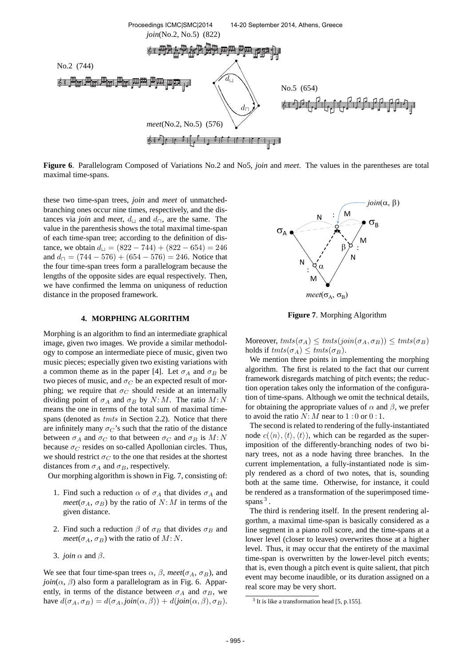

**Figure 6**. Parallelogram Composed of Variations No.2 and No5, *join* and *meet*. The values in the parentheses are total maximal time-spans.

these two time-span trees, *join* and *meet* of unmatchedbranching ones occur nine times, respectively, and the distances via *join* and *meet*,  $d_{\square}$  and  $d_{\square}$ , are the same. The value in the parenthesis shows the total maximal time-span of each time-span tree; according to the definition of distance, we obtain  $d_{\Box} = (822 - 744) + (822 - 654) = 246$ and  $d_{\square} = (744 - 576) + (654 - 576) = 246$ . Notice that the four time-span trees form a parallelogram because the lengths of the opposite sides are equal respectively. Then, we have confirmed the lemma on uniquness of reduction distance in the proposed framework.

# **4. MORPHING ALGORITHM**

Morphing is an algorithm to find an intermediate graphical image, given two images. We provide a similar methodology to compose an intermediate piece of music, given two music pieces; especially given two existing variations with a common theme as in the paper [4]. Let  $\sigma_A$  and  $\sigma_B$  be two pieces of music, and  $\sigma_C$  be an expected result of morphing; we require that  $\sigma_C$  should reside at an internally dividing point of  $\sigma_A$  and  $\sigma_B$  by N: M. The ratio M: N means the one in terms of the total sum of maximal timespans (denoted as  $t m t s$  in Section 2.2). Notice that there are infinitely many  $\sigma_C$ 's such that the ratio of the distance between  $\sigma_A$  and  $\sigma_C$  to that between  $\sigma_C$  and  $\sigma_B$  is  $M: N$ because  $\sigma_C$  resides on so-called Apollonian circles. Thus, we should restrict  $\sigma_C$  to the one that resides at the shortest distances from  $\sigma_A$  and  $\sigma_B$ , respectively.

Our morphing algorithm is shown in Fig. 7, consisting of:

- 1. Find such a reduction  $\alpha$  of  $\sigma_A$  that divides  $\sigma_A$  and *meet*( $\sigma_A$ ,  $\sigma_B$ ) by the ratio of N: M in terms of the given distance.
- 2. Find such a reduction  $\beta$  of  $\sigma_B$  that divides  $\sigma_B$  and *meet*( $\sigma_A$ ,  $\sigma_B$ ) with the ratio of M: N.
- 3. *join*  $\alpha$  and  $\beta$ .

We see that four time-span trees  $\alpha$ ,  $\beta$ , *meet*( $\sigma$ <sub>A</sub>,  $\sigma$ <sub>B</sub>), and  $join(\alpha, \beta)$  also form a parallelogram as in Fig. 6. Apparently, in terms of the distance between  $\sigma_A$  and  $\sigma_B$ , we have  $d(\sigma_A, \sigma_B) = d(\sigma_A, \text{join}(\alpha, \beta)) + d(\text{join}(\alpha, \beta), \sigma_B)$ .



**Figure 7**. Morphing Algorithm

Moreover,  $\text{tmts}(\sigma_A) \leq \text{tmts}(join(\sigma_A, \sigma_B)) \leq \text{tmts}(\sigma_B)$ holds if  $tmts(\sigma_A) \leq tmts(\sigma_B)$ .

We mention three points in implementing the morphing algorithm. The first is related to the fact that our current framework disregards matching of pitch events; the reduction operation takes only the information of the configuration of time-spans. Although we omit the technical details, for obtaining the appropriate values of  $\alpha$  and  $\beta$ , we prefer to avoid the ratio  $N: M$  near to  $1:0$  or  $0:1$ .

The second is related to rendering of the fully-instantiated node  $c(\langle n \rangle, \langle t \rangle, \langle t \rangle)$ , which can be regarded as the superimposition of the differently-branching nodes of two binary trees, not as a node having three branches. In the current implementation, a fully-instantiated node is simply rendered as a chord of two notes, that is, sounding both at the same time. Otherwise, for instance, it could be rendered as a transformation of the superimposed timespans<sup>3</sup>.

The third is rendering itself. In the present rendering algorthm, a maximal time-span is basically considered as a line segment in a piano roll score, and the time-spans at a lower level (closer to leaves) overwrites those at a higher level. Thus, it may occur that the entirety of the maximal time-span is overwritten by the lower-level pitch events; that is, even though a pitch event is quite salient, that pitch event may become inaudible, or its duration assigned on a real score may be very short.

<sup>&</sup>lt;sup>3</sup> It is like a transformation head [5, p.155].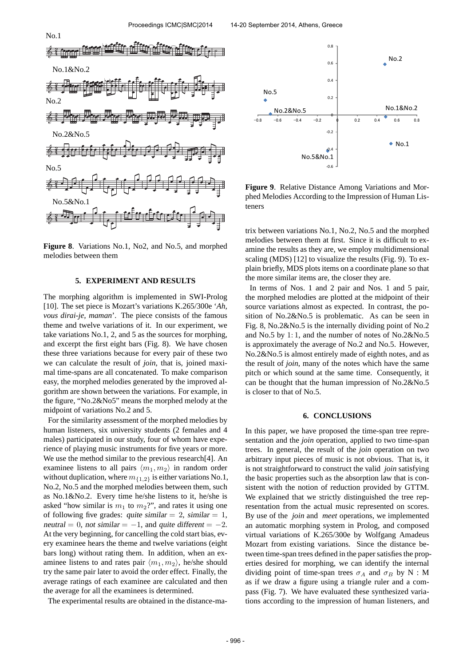

**Figure 8**. Variations No.1, No2, and No.5, and morphed melodies between them

## **5. EXPERIMENT AND RESULTS**

The morphing algorithm is implemented in SWI-Prolog [10]. The set piece is Mozart's variations K.265/300e '*Ah, vous dirai-je, maman*'. The piece consists of the famous theme and twelve variations of it. In our experiment, we take variations No.1, 2, and 5 as the sources for morphing, and excerpt the first eight bars (Fig. 8). We have chosen these three variations because for every pair of these two we can calculate the result of *join*, that is, joined maximal time-spans are all concatenated. To make comparison easy, the morphed melodies generated by the improved algorithm are shown between the variations. For example, in the figure, "No.2&No5" means the morphed melody at the midpoint of variations No.2 and 5.

For the similarity assessment of the morphed melodies by human listeners, six university students (2 females and 4 males) participated in our study, four of whom have experience of playing music instruments for five years or more. We use the method similar to the previous research[4]. An examinee listens to all pairs  $\langle m_1, m_2 \rangle$  in random order without duplication, where  $m_{\{1,2\}}$  is either variations No.1, No.2, No.5 and the morphed melodies between them, such as No.1&No.2. Every time he/she listens to it, he/she is asked "how similar is  $m_1$  to  $m_2$ ?", and rates it using one of following five grades: quite similar  $= 2$ , similar  $= 1$ , neutral = 0, not similar =  $-1$ , and quite different =  $-2$ . At the very beginning, for cancelling the cold start bias, every examinee hears the theme and twelve variations (eight bars long) without rating them. In addition, when an examinee listens to and rates pair  $\langle m_1, m_2 \rangle$ , he/she should try the same pair later to avoid the order effect. Finally, the average ratings of each examinee are calculated and then the average for all the examinees is determined.

The experimental results are obtained in the distance-ma-



**Figure 9**. Relative Distance Among Variations and Morphed Melodies According to the Impression of Human Listeners

trix between variations No.1, No.2, No.5 and the morphed melodies between them at first. Since it is difficult to examine the results as they are, we employ multidimensional scaling (MDS) [12] to visualize the results (Fig. 9). To explain briefly, MDS plots items on a coordinate plane so that the more similar items are, the closer they are.

In terms of Nos. 1 and 2 pair and Nos. 1 and 5 pair, the morphed melodies are plotted at the midpoint of their source variations almost as expected. In contrast, the position of No.2&No.5 is problematic. As can be seen in Fig. 8, No.2&No.5 is the internally dividing point of No.2 and No.5 by 1: 1, and the number of notes of No.2&No.5 is approximately the average of No.2 and No.5. However, No.2&No.5 is almost entirely made of eighth notes, and as the result of *join*, many of the notes which have the same pitch or which sound at the same time. Consequently, it can be thought that the human impression of No.2&No.5 is closer to that of No.5.

#### **6. CONCLUSIONS**

In this paper, we have proposed the time-span tree representation and the *join* operation, applied to two time-span trees. In general, the result of the *join* operation on two arbitrary input pieces of music is not obvious. That is, it is not straightforward to construct the valid *join* satisfying the basic properties such as the absorption law that is consistent with the notion of reduction provided by GTTM. We explained that we strictly distinguished the tree representation from the actual music represented on scores. By use of the *join* and *meet* operations, we implemented an automatic morphing system in Prolog, and composed virtual variations of K.265/300e by Wolfgang Amadeus Mozart from existing variations. Since the distance between time-span trees defined in the paper satisfies the properties desired for morphing, we can identify the internal dividing point of time-span trees  $\sigma_A$  and  $\sigma_B$  by N : M as if we draw a figure using a triangle ruler and a compass (Fig. 7). We have evaluated these synthesized variations according to the impression of human listeners, and